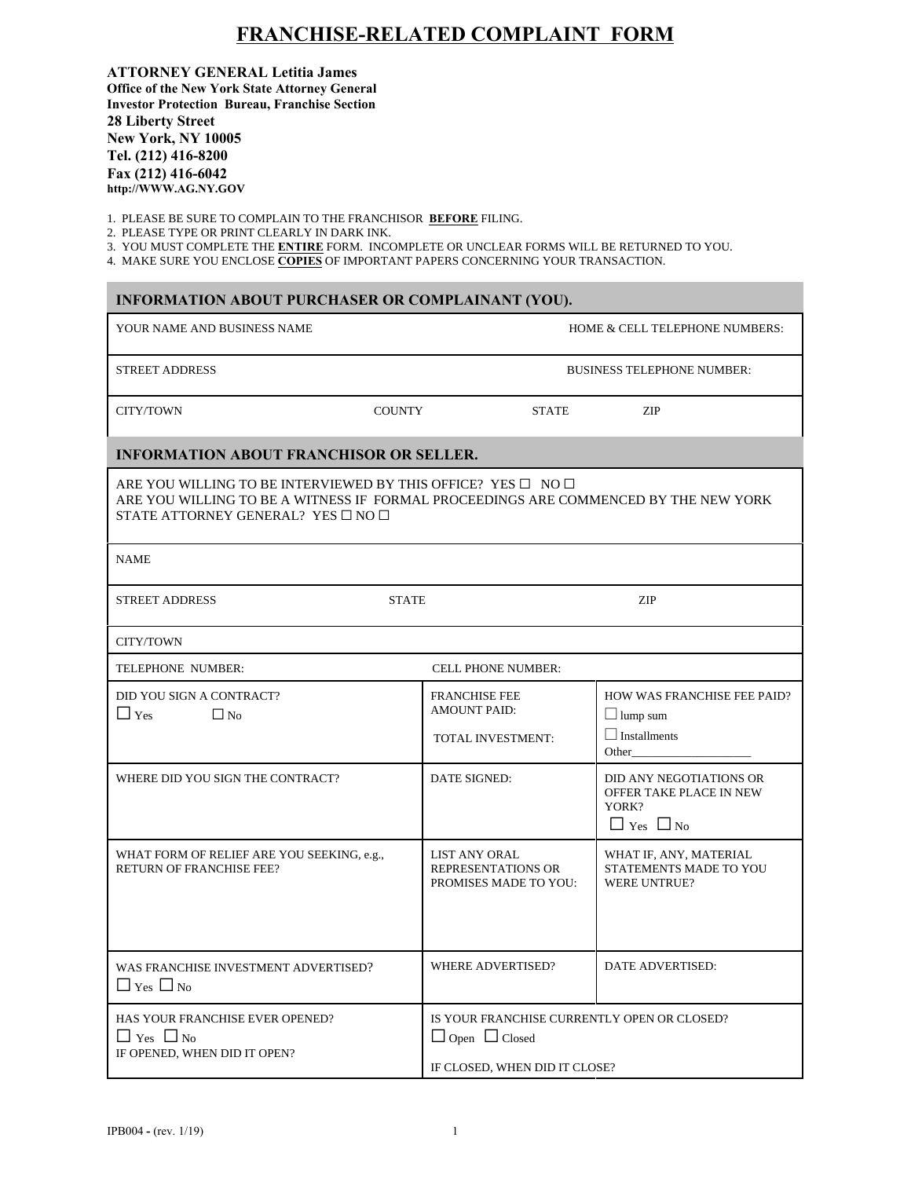## **FRANCHISE-RELATED COMPLAINT FORM**

**ATTORNEY GENERAL Letitia James Office of the New York State Attorney General Investor Protection Bureau, Franchise Section 28 Liberty Street New York, NY 10005 Tel. (212) 416-8200 Fax (212) 416-6042 [http://WWW.AG.NY.](http://www.ag.ny.gov)GOV**

1. PLEASE BE SURE TO COMPLAIN TO THE FRANCHISOR **BEFORE** FILING.

2. PLEASE TYPE OR PRINT CLEARLY IN DARK INK.

×

3. YOU MUST COMPLETE THE **ENTIRE** FORM. INCOMPLETE OR UNCLEAR FORMS WILL BE RETURNED TO YOU.

4. MAKE SURE YOU ENCLOSE **COPIES** OF IMPORTANT PAPERS CONCERNING YOUR TRANSACTION.

| INFORMATION ABOUT PURCHASER OR COMPLAINANT (YOU).                                                                                                                                                                         |                                                                  |                                                                                     |  |  |
|---------------------------------------------------------------------------------------------------------------------------------------------------------------------------------------------------------------------------|------------------------------------------------------------------|-------------------------------------------------------------------------------------|--|--|
| YOUR NAME AND BUSINESS NAME                                                                                                                                                                                               |                                                                  | HOME & CELL TELEPHONE NUMBERS:                                                      |  |  |
| <b>STREET ADDRESS</b>                                                                                                                                                                                                     |                                                                  | <b>BUSINESS TELEPHONE NUMBER:</b>                                                   |  |  |
| CITY/TOWN                                                                                                                                                                                                                 | <b>COUNTY</b><br><b>STATE</b>                                    | ZIP                                                                                 |  |  |
| <b>INFORMATION ABOUT FRANCHISOR OR SELLER.</b>                                                                                                                                                                            |                                                                  |                                                                                     |  |  |
| ARE YOU WILLING TO BE INTERVIEWED BY THIS OFFICE? YES $\square$ NO $\square$<br>ARE YOU WILLING TO BE A WITNESS IF FORMAL PROCEEDINGS ARE COMMENCED BY THE NEW YORK<br>STATE ATTORNEY GENERAL? YES $\square$ NO $\square$ |                                                                  |                                                                                     |  |  |
| <b>NAME</b>                                                                                                                                                                                                               |                                                                  |                                                                                     |  |  |
| <b>STREET ADDRESS</b>                                                                                                                                                                                                     | <b>STATE</b>                                                     | ZIP                                                                                 |  |  |
| CITY/TOWN                                                                                                                                                                                                                 |                                                                  |                                                                                     |  |  |
| TELEPHONE NUMBER:                                                                                                                                                                                                         | <b>CELL PHONE NUMBER:</b>                                        |                                                                                     |  |  |
| DID YOU SIGN A CONTRACT?<br>$\Box$ Yes<br>$\Box$ No                                                                                                                                                                       | <b>FRANCHISE FEE</b><br><b>AMOUNT PAID:</b><br>TOTAL INVESTMENT: | HOW WAS FRANCHISE FEE PAID?<br>$\Box$ lump sum<br>$\Box$ Installments<br>Other      |  |  |
| WHERE DID YOU SIGN THE CONTRACT?                                                                                                                                                                                          | DATE SIGNED:                                                     | DID ANY NEGOTIATIONS OR<br>OFFER TAKE PLACE IN NEW<br>YORK?<br>$\Box$ Yes $\Box$ No |  |  |
| WHAT FORM OF RELIEF ARE YOU SEEKING, e.g.,<br><b>RETURN OF FRANCHISE FEE?</b>                                                                                                                                             | LIST ANY ORAL<br>REPRESENTATIONS OR<br>PROMISES MADE TO YOU:     | WHAT IF, ANY, MATERIAL<br>STATEMENTS MADE TO YOU<br><b>WERE UNTRUE?</b>             |  |  |
| WAS FRANCHISE INVESTMENT ADVERTISED?<br>$\Box$ Yes $\Box$ No                                                                                                                                                              | WHERE ADVERTISED?                                                | DATE ADVERTISED:                                                                    |  |  |
| HAS YOUR FRANCHISE EVER OPENED?<br>$\Box$ Yes $\Box$ No<br>IF OPENED, WHEN DID IT OPEN?                                                                                                                                   | $\Box$ Open $\Box$ Closed                                        | IS YOUR FRANCHISE CURRENTLY OPEN OR CLOSED?<br>IF CLOSED, WHEN DID IT CLOSE?        |  |  |